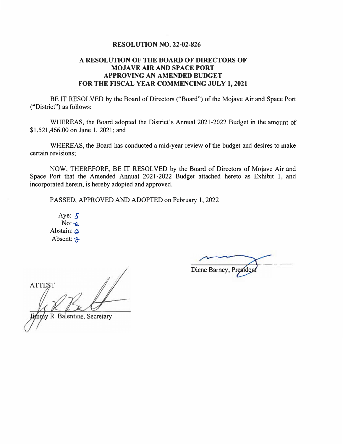#### **RESOLUTION NO. 22-02-826**

# **A RESOLUTION OF THE BOARD OF DIRECTORS OF MOJAVE AIR AND SPACE PORT APPROVING AN AMENDED BUDGET FOR THE FISCAL YEAR COMMENCING JULY 1, 2021**

BE IT RESOLVED by the Board of Directors ("Board") of the Mojave Air and Space Port ("District") as follows:

WHEREAS, the Board adopted the District's Annual 2021-2022 Budget in the amount of \$1,521,466.00 on June 1, 2021; and

WHEREAS, the Board has conducted a mid-year review of the budget and desires to make certain revisions;

NOW, THEREFORE, BE IT RESOLVED by the Board of Directors of Mojave Air and Space Port that the Amended Annual 2021-2022 Budget attached hereto as Exhibit 1, and incorporated herein, is hereby adopted and approved.

PASSED, APPROVED AND ADOPTED on February 1, 2022

Aye: *5*   $No: <sub>G</sub>$ Abstain:  $\triangle$ . Absent:  $\mathcal{P}$ 

**ATTES** R. Balentine, Secretary

Diane Barney, Presiden